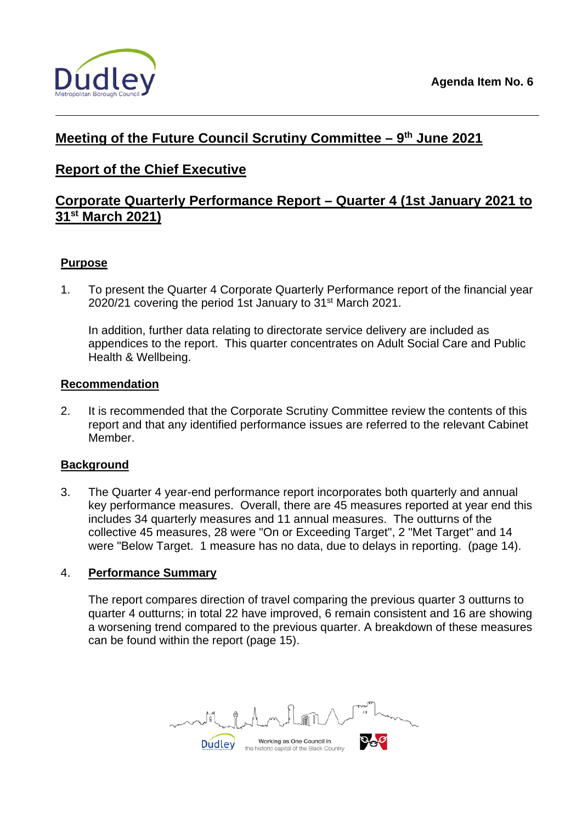

# **Meeting of the Future Council Scrutiny Committee – 9th June 2021**

# **Report of the Chief Executive**

# **Corporate Quarterly Performance Report – Quarter 4 (1st January 2021 to 31st March 2021)**

## **Purpose**

1. To present the Quarter 4 Corporate Quarterly Performance report of the financial year 2020/21 covering the period 1st January to 31<sup>st</sup> March 2021.

In addition, further data relating to directorate service delivery are included as appendices to the report. This quarter concentrates on Adult Social Care and Public Health & Wellbeing.

#### **Recommendation**

2. It is recommended that the Corporate Scrutiny Committee review the contents of this report and that any identified performance issues are referred to the relevant Cabinet Member.

## **Background**

3. The Quarter 4 year-end performance report incorporates both quarterly and annual key performance measures. Overall, there are 45 measures reported at year end this includes 34 quarterly measures and 11 annual measures. The outturns of the collective 45 measures, 28 were "On or Exceeding Target", 2 "Met Target" and 14 were "Below Target. 1 measure has no data, due to delays in reporting. (page 14).

#### 4. **Performance Summary**

The report compares direction of travel comparing the previous quarter 3 outturns to quarter 4 outturns; in total 22 have improved, 6 remain consistent and 16 are showing a worsening trend compared to the previous quarter. A breakdown of these measures can be found within the report (page 15).

Working as One Council in **Dudley** the historic capital of the Black Country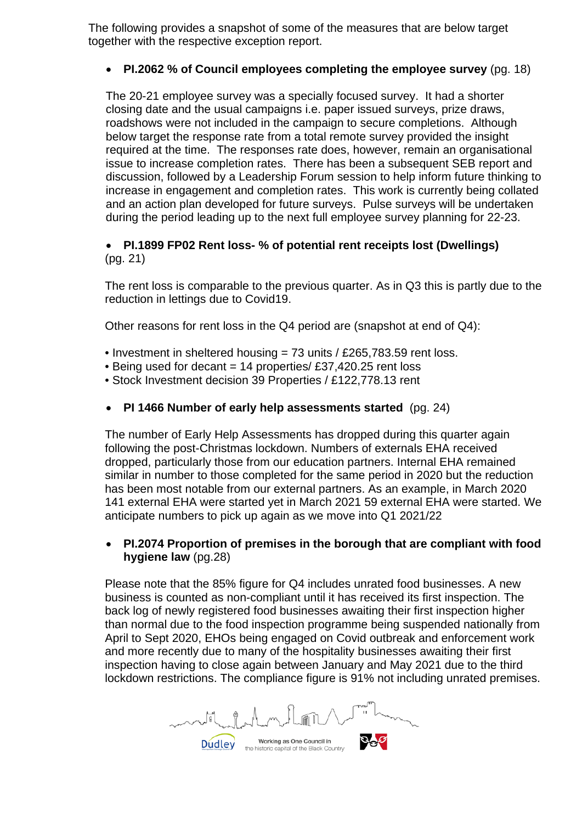The following provides a snapshot of some of the measures that are below target together with the respective exception report.

## • **PI.2062 % of Council employees completing the employee survey** (pg. 18)

The 20-21 employee survey was a specially focused survey. It had a shorter closing date and the usual campaigns i.e. paper issued surveys, prize draws, roadshows were not included in the campaign to secure completions. Although below target the response rate from a total remote survey provided the insight required at the time. The responses rate does, however, remain an organisational issue to increase completion rates. There has been a subsequent SEB report and discussion, followed by a Leadership Forum session to help inform future thinking to increase in engagement and completion rates. This work is currently being collated and an action plan developed for future surveys. Pulse surveys will be undertaken during the period leading up to the next full employee survey planning for 22-23.

## • **PI.1899 FP02 Rent loss- % of potential rent receipts lost (Dwellings)**  (pg. 21)

The rent loss is comparable to the previous quarter. As in Q3 this is partly due to the reduction in lettings due to Covid19.

Other reasons for rent loss in the Q4 period are (snapshot at end of Q4):

- Investment in sheltered housing = 73 units / £265,783.59 rent loss.
- Being used for decant  $= 14$  properties/ £37,420.25 rent loss
- Stock Investment decision 39 Properties / £122,778.13 rent
- **PI 1466 Number of early help assessments started** (pg. 24)

The number of Early Help Assessments has dropped during this quarter again following the post-Christmas lockdown. Numbers of externals EHA received dropped, particularly those from our education partners. Internal EHA remained similar in number to those completed for the same period in 2020 but the reduction has been most notable from our external partners. As an example, in March 2020 141 external EHA were started yet in March 2021 59 external EHA were started. We anticipate numbers to pick up again as we move into Q1 2021/22

### • **PI.2074 Proportion of premises in the borough that are compliant with food hygiene law** (pg.28)

Please note that the 85% figure for Q4 includes unrated food businesses. A new business is counted as non-compliant until it has received its first inspection. The back log of newly registered food businesses awaiting their first inspection higher than normal due to the food inspection programme being suspended nationally from April to Sept 2020, EHOs being engaged on Covid outbreak and enforcement work and more recently due to many of the hospitality businesses awaiting their first inspection having to close again between January and May 2021 due to the third lockdown restrictions. The compliance figure is 91% not including unrated premises.

Working as One Council in **Dudley** the historic capital of the Black Country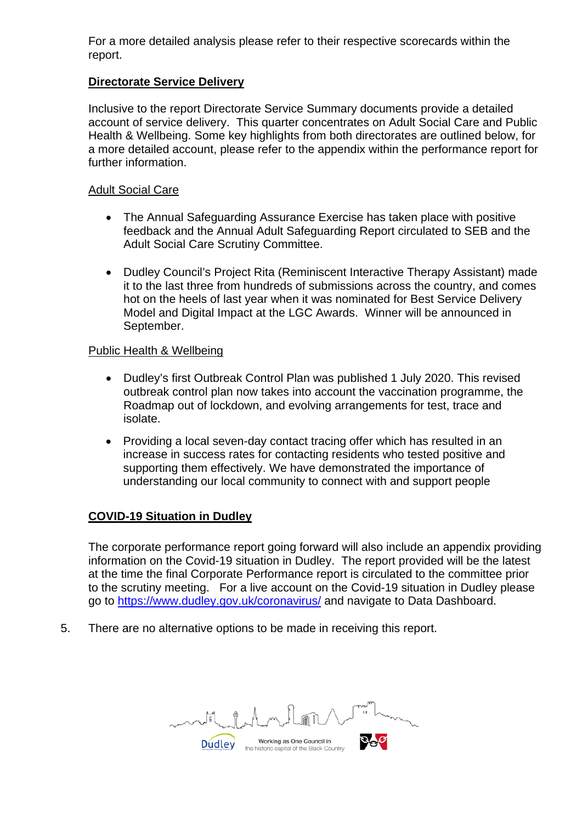For a more detailed analysis please refer to their respective scorecards within the report.

### **Directorate Service Delivery**

Inclusive to the report Directorate Service Summary documents provide a detailed account of service delivery. This quarter concentrates on Adult Social Care and Public Health & Wellbeing. Some key highlights from both directorates are outlined below, for a more detailed account, please refer to the appendix within the performance report for further information.

#### Adult Social Care

- The Annual Safeguarding Assurance Exercise has taken place with positive feedback and the Annual Adult Safeguarding Report circulated to SEB and the Adult Social Care Scrutiny Committee.
- Dudley Council's Project Rita (Reminiscent Interactive Therapy Assistant) made it to the last three from hundreds of submissions across the country, and comes hot on the heels of last year when it was nominated for Best Service Delivery Model and Digital Impact at the LGC Awards. Winner will be announced in September.

### Public Health & Wellbeing

- Dudley's first Outbreak Control Plan was published 1 July 2020. This revised outbreak control plan now takes into account the vaccination programme, the Roadmap out of lockdown, and evolving arrangements for test, trace and isolate.
- Providing a local seven-day contact tracing offer which has resulted in an increase in success rates for contacting residents who tested positive and supporting them effectively. We have demonstrated the importance of understanding our local community to connect with and support people

## **COVID-19 Situation in Dudley**

The corporate performance report going forward will also include an appendix providing information on the Covid-19 situation in Dudley. The report provided will be the latest at the time the final Corporate Performance report is circulated to the committee prior to the scrutiny meeting. For a live account on the Covid-19 situation in Dudley please go to<https://www.dudley.gov.uk/coronavirus/> and navigate to Data Dashboard.

5. There are no alternative options to be made in receiving this report.

Working as One Council in **Dudley** the historic capital of the Black Country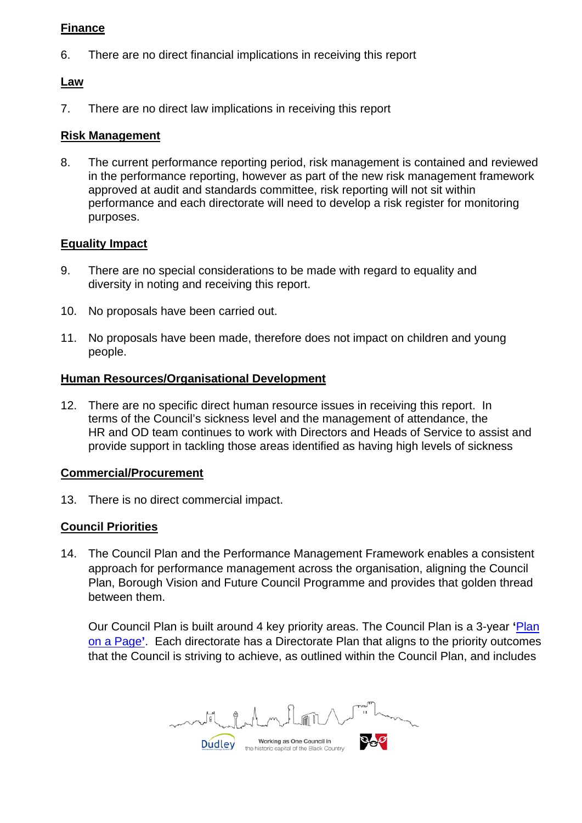### **Finance**

6. There are no direct financial implications in receiving this report

## **Law**

7. There are no direct law implications in receiving this report

## **Risk Management**

8. The current performance reporting period, risk management is contained and reviewed in the performance reporting, however as part of the new risk management framework approved at audit and standards committee, risk reporting will not sit within performance and each directorate will need to develop a risk register for monitoring purposes.

## **Equality Impact**

- 9. There are no special considerations to be made with regard to equality and diversity in noting and receiving this report.
- 10. No proposals have been carried out.
- 11. No proposals have been made, therefore does not impact on children and young people.

## **Human Resources/Organisational Development**

12. There are no specific direct human resource issues in receiving this report. In terms of the Council's sickness level and the management of attendance, the HR and OD team continues to work with Directors and Heads of Service to assist and provide support in tackling those areas identified as having high levels of sickness

## **Commercial/Procurement**

13. There is no direct commercial impact.

# **Council Priorities**

14. The Council Plan and the Performance Management Framework enables a consistent approach for performance management across the organisation, aligning the Council Plan, Borough Vision and Future Council Programme and provides that golden thread between them.

Our Council Plan is built around 4 key priority areas. The Council Plan is a 3-year **'**[Plan](https://www.dudley.gov.uk/council-community/plan/plans-policies-strategies/council-plan/)  [on a Page](https://www.dudley.gov.uk/council-community/plan/plans-policies-strategies/council-plan/)**'**. Each directorate has a Directorate Plan that aligns to the priority outcomes that the Council is striving to achieve, as outlined within the Council Plan, and includes

Working as One Council in **Dudley** the historic capital of the Black Country